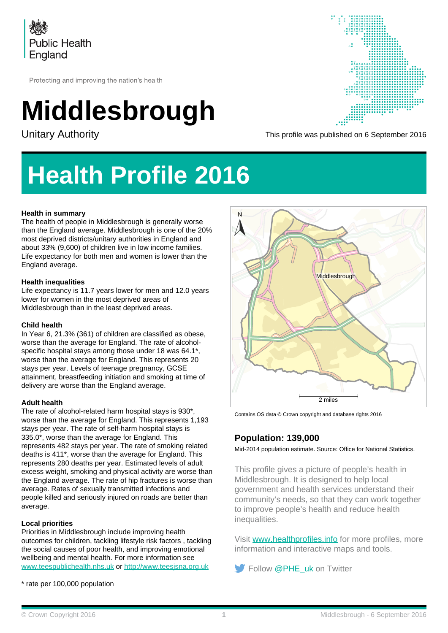

Protecting and improving the nation's health

# **Middlesbrough**



Unitary Authority **This profile was published on 6 September 2016** 

## **Health Profile 2016**

### **Health in summary**

The health of people in Middlesbrough is generally worse than the England average. Middlesbrough is one of the 20% most deprived districts/unitary authorities in England and about 33% (9,600) of children live in low income families. Life expectancy for both men and women is lower than the England average.

#### **Health inequalities**

Life expectancy is 11.7 years lower for men and 12.0 years lower for women in the most deprived areas of Middlesbrough than in the least deprived areas.

#### **Child health**

In Year 6, 21.3% (361) of children are classified as obese, worse than the average for England. The rate of alcoholspecific hospital stays among those under 18 was 64.1\*, worse than the average for England. This represents 20 stays per year. Levels of teenage pregnancy, GCSE attainment, breastfeeding initiation and smoking at time of delivery are worse than the England average.

#### **Adult health**

The rate of alcohol-related harm hospital stays is 930\*, worse than the average for England. This represents 1,193 stays per year. The rate of self-harm hospital stays is 335.0\*, worse than the average for England. This represents 482 stays per year. The rate of smoking related deaths is 411\*, worse than the average for England. This represents 280 deaths per year. Estimated levels of adult excess weight, smoking and physical activity are worse than the England average. The rate of hip fractures is worse than average. Rates of sexually transmitted infections and people killed and seriously injured on roads are better than average.

#### **Local priorities**

Priorities in Middlesbrough include improving health outcomes for children, tackling lifestyle risk factors , tackling the social causes of poor health, and improving emotional wellbeing and mental health. For more information see [www.teespublichealth.nhs.uk](http://www.teespublichealth.nhs.uk) or [http://www.teesjsna.org.uk](http://www.teesjsna.org.uk/)

\* rate per 100,000 population



Contains OS data © Crown copyright and database rights 2016

### **Population: 139,000**

Mid-2014 population estimate. Source: Office for National Statistics.

This profile gives a picture of people's health in Middlesbrough. It is designed to help local government and health services understand their community's needs, so that they can work together to improve people's health and reduce health inequalities.

Visit [www.healthprofiles.info](http://www.healthprofiles.info) for more profiles, more [information and interactive maps and too](http://www.twitter.com/PHE_uk)ls.

Follow @PHE\_uk on Twitter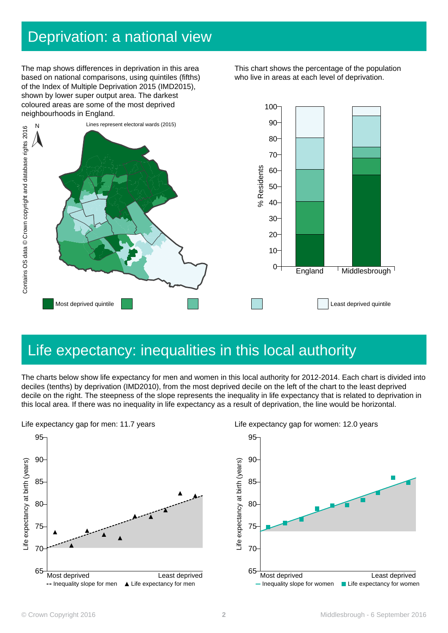### Deprivation: a national view

The map shows differences in deprivation in this area based on national comparisons, using quintiles (fifths) of the Index of Multiple Deprivation 2015 (IMD2015), shown by lower super output area. The darkest coloured areas are some of the most deprived neighbourhoods in England.

This chart shows the percentage of the population who live in areas at each level of deprivation.



### Life expectancy: inequalities in this local authority

The charts below show life expectancy for men and women in this local authority for 2012-2014. Each chart is divided into deciles (tenths) by deprivation (IMD2010), from the most deprived decile on the left of the chart to the least deprived decile on the right. The steepness of the slope represents the inequality in life expectancy that is related to deprivation in





Life expectancy gap for women: 12.0 years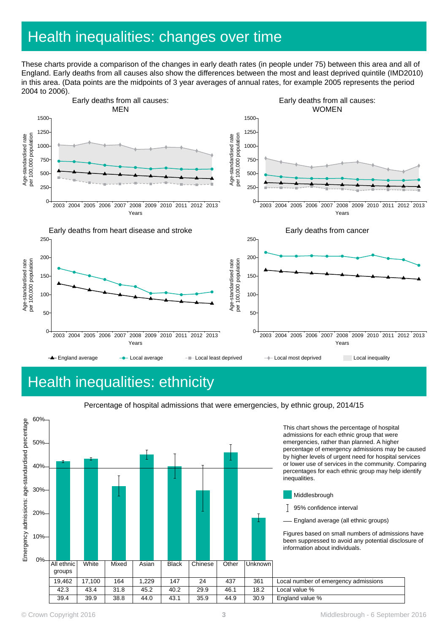## Health inequalities: changes over time

These charts provide a comparison of the changes in early death rates (in people under 75) between this area and all of England. Early deaths from all causes also show the differences between the most and least deprived quintile (IMD2010) in this area. (Data points are the midpoints of 3 year averages of annual rates, for example 2005 represents the period 2004 to 2006).



### Health inequalities: ethnicity





This chart shows the percentage of hospital admissions for each ethnic group that were emergencies, rather than planned. A higher percentage of emergency admissions may be caused by higher levels of urgent need for hospital services or lower use of services in the community. Comparing percentages for each ethnic group may help identify inequalities.

- Middlesbrough
- 95% confidence interval
- England average (all ethnic groups)

Figures based on small numbers of admissions have been suppressed to avoid any potential disclosure of information about individuals.

| 19,462 | .100<br>$\rightarrow$ | 164  | ,229 | 147  | 24   | 437  | 361  | Local number of emergency admissions |
|--------|-----------------------|------|------|------|------|------|------|--------------------------------------|
| 42.3   | 43.4                  | 31.8 | 45.2 | 40.2 | 29.9 | 46.1 | 18.2 | Local value %                        |
| 39.4   | 39.9                  | 38.8 | 44.0 | 43.1 | 35.9 | 44.9 | 30.9 | England value %                      |